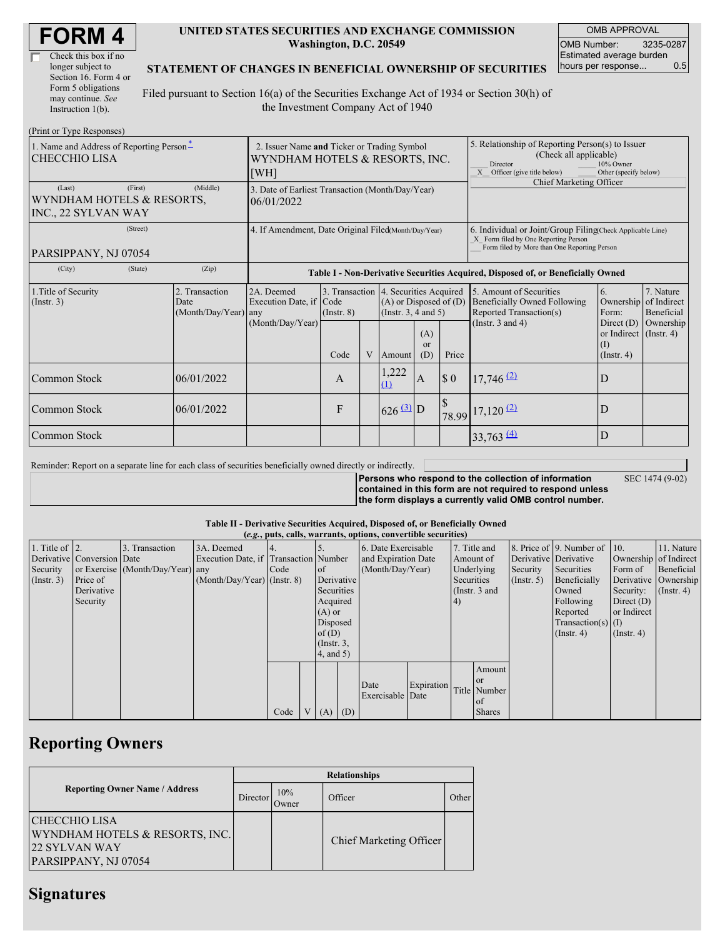| Check this box if no  |
|-----------------------|
| longer subject to     |
| Section 16. Form 4 or |
| Form 5 obligations    |
| may continue. See     |
| Instruction 1(b).     |

#### **UNITED STATES SECURITIES AND EXCHANGE COMMISSION Washington, D.C. 20549**

OMB APPROVAL OMB Number: 3235-0287 Estimated average burden hours per response... 0.5

### **STATEMENT OF CHANGES IN BENEFICIAL OWNERSHIP OF SECURITIES**

Filed pursuant to Section 16(a) of the Securities Exchange Act of 1934 or Section 30(h) of the Investment Company Act of 1940

| (Print or Type Responses)                                             |                                                                                       |                                                                                  |                 |   |                                                                                                 |                                                                                                                                                    |                                                                                                                                                              |                                                                                           |                                                                         |                                                  |
|-----------------------------------------------------------------------|---------------------------------------------------------------------------------------|----------------------------------------------------------------------------------|-----------------|---|-------------------------------------------------------------------------------------------------|----------------------------------------------------------------------------------------------------------------------------------------------------|--------------------------------------------------------------------------------------------------------------------------------------------------------------|-------------------------------------------------------------------------------------------|-------------------------------------------------------------------------|--------------------------------------------------|
| 1. Name and Address of Reporting Person-<br><b>CHECCHIO LISA</b>      | 2. Issuer Name and Ticker or Trading Symbol<br>WYNDHAM HOTELS & RESORTS, INC.<br>[WH] |                                                                                  |                 |   |                                                                                                 |                                                                                                                                                    | 5. Relationship of Reporting Person(s) to Issuer<br>(Check all applicable)<br>10% Owner<br>Director<br>Other (specify below)<br>X Officer (give title below) |                                                                                           |                                                                         |                                                  |
| (First)<br>(Last)<br>WYNDHAM HOTELS & RESORTS,<br>INC., 22 SYLVAN WAY | (Middle)                                                                              | 3. Date of Earliest Transaction (Month/Day/Year)<br>06/01/2022                   |                 |   |                                                                                                 |                                                                                                                                                    |                                                                                                                                                              | Chief Marketing Officer                                                                   |                                                                         |                                                  |
| (Street)<br>PARSIPPANY, NJ 07054                                      | 4. If Amendment, Date Original Filed(Month/Day/Year)                                  |                                                                                  |                 |   |                                                                                                 | 6. Individual or Joint/Group Filing(Check Applicable Line)<br>X Form filed by One Reporting Person<br>Form filed by More than One Reporting Person |                                                                                                                                                              |                                                                                           |                                                                         |                                                  |
| (State)<br>(City)                                                     | (Zip)                                                                                 | Table I - Non-Derivative Securities Acquired, Disposed of, or Beneficially Owned |                 |   |                                                                                                 |                                                                                                                                                    |                                                                                                                                                              |                                                                                           |                                                                         |                                                  |
| 1. Title of Security<br>(Insert. 3)                                   | 2. Transaction<br>Date<br>$(Month/Day/Year)$ any                                      | 2A. Deemed<br>Execution Date, if Code                                            | $($ Instr. $8)$ |   | 3. Transaction 4. Securities Acquired<br>$(A)$ or Disposed of $(D)$<br>(Instr. $3, 4$ and $5$ ) |                                                                                                                                                    |                                                                                                                                                              | 5. Amount of Securities<br><b>Beneficially Owned Following</b><br>Reported Transaction(s) | 6.<br>Form:                                                             | 7. Nature<br>Ownership of Indirect<br>Beneficial |
|                                                                       |                                                                                       | (Month/Day/Year)                                                                 | Code            | V | Amount                                                                                          | (A)<br>$\alpha$<br>(D)                                                                                                                             | Price                                                                                                                                                        | (Instr. $3$ and $4$ )                                                                     | Direct $(D)$<br>or Indirect $($ Instr. 4 $)$<br>(1)<br>$($ Instr. 4 $)$ | Ownership                                        |
| Common Stock                                                          | 06/01/2022                                                                            |                                                                                  | $\mathbf{A}$    |   | ,222<br>(1)                                                                                     | $\overline{A}$                                                                                                                                     | $\boldsymbol{\mathsf{S}}$ 0                                                                                                                                  | $17,746 \, 22$                                                                            | D                                                                       |                                                  |
| Common Stock                                                          | 06/01/2022                                                                            |                                                                                  | F               |   | $626^{(3)}D$                                                                                    |                                                                                                                                                    | \$                                                                                                                                                           | 78.99 17,120 (2)                                                                          | D                                                                       |                                                  |
| Common Stock                                                          |                                                                                       |                                                                                  |                 |   |                                                                                                 |                                                                                                                                                    |                                                                                                                                                              | $33,763 \stackrel{(4)}{=}$                                                                | D                                                                       |                                                  |

Reminder: Report on a separate line for each class of securities beneficially owned directly or indirectly.

**Persons who respond to the collection of information contained in this form are not required to respond unless**

SEC 1474 (9-02)

**the form displays a currently valid OMB control number.**

### **Table II - Derivative Securities Acquired, Disposed of, or Beneficially Owned**

|                        | (e.g., puts, calls, warrants, options, convertible securities) |                                  |                                       |      |               |                                   |                     |                          |              |                       |                  |                          |                  |                      |  |
|------------------------|----------------------------------------------------------------|----------------------------------|---------------------------------------|------|---------------|-----------------------------------|---------------------|--------------------------|--------------|-----------------------|------------------|--------------------------|------------------|----------------------|--|
| 1. Title of $\vert$ 2. |                                                                | 3. Transaction                   | 3A. Deemed                            |      |               |                                   | 6. Date Exercisable |                          | 7. Title and |                       |                  | 8. Price of 9. Number of | $\vert$ 10.      | 11. Nature           |  |
|                        | Derivative Conversion Date                                     |                                  | Execution Date, if Transaction Number |      |               | and Expiration Date               |                     | Amount of                |              | Derivative Derivative |                  | Ownership of Indirect    |                  |                      |  |
| Security               |                                                                | or Exercise (Month/Day/Year) any |                                       | Code |               | (Month/Day/Year)<br><sub>of</sub> |                     | Underlying               |              | Security              | Securities       | Form of                  | Beneficial       |                      |  |
| (Insert. 3)            | Price of                                                       |                                  | $(Month/Day/Year)$ (Instr. 8)         |      |               |                                   | Derivative          |                          | Securities   |                       | $($ Instr. 5 $)$ | Beneficially             |                  | Derivative Ownership |  |
|                        | Derivative                                                     |                                  |                                       |      |               | Securities                        |                     | (Instr. 3 and            |              |                       | Owned            | Security:                | $($ Instr. 4 $)$ |                      |  |
|                        | Security                                                       |                                  |                                       |      |               | Acquired                          |                     |                          | 4)           |                       |                  | Following                | Direct $(D)$     |                      |  |
|                        |                                                                |                                  |                                       |      | $(A)$ or      |                                   |                     |                          |              | Reported              | or Indirect      |                          |                  |                      |  |
|                        |                                                                |                                  |                                       |      | Disposed      |                                   |                     |                          |              |                       |                  | $Transaction(s)$ (I)     |                  |                      |  |
|                        |                                                                |                                  |                                       |      | of $(D)$      |                                   |                     |                          |              |                       |                  | $($ Instr. 4)            | $($ Instr. 4 $)$ |                      |  |
|                        |                                                                |                                  |                                       |      | $($ Instr. 3, |                                   |                     |                          |              |                       |                  |                          |                  |                      |  |
|                        |                                                                |                                  |                                       |      |               | $4$ , and 5)                      |                     |                          |              |                       |                  |                          |                  |                      |  |
|                        |                                                                |                                  |                                       |      |               |                                   |                     |                          |              |                       | Amount           |                          |                  |                      |  |
|                        |                                                                |                                  |                                       |      |               |                                   |                     |                          |              |                       | $\alpha$         |                          |                  |                      |  |
|                        |                                                                |                                  |                                       |      |               |                                   |                     | Date<br>Exercisable Date | Expiration   |                       | Title Number     |                          |                  |                      |  |
|                        |                                                                |                                  |                                       |      |               |                                   |                     |                          |              |                       | of               |                          |                  |                      |  |
|                        |                                                                |                                  |                                       | Code |               | V   (A)   (D)                     |                     |                          |              |                       | <b>Shares</b>    |                          |                  |                      |  |

## **Reporting Owners**

|                                                                                                 | <b>Relationships</b> |                          |                         |       |  |  |  |  |  |
|-------------------------------------------------------------------------------------------------|----------------------|--------------------------|-------------------------|-------|--|--|--|--|--|
| <b>Reporting Owner Name / Address</b>                                                           |                      | 10%<br>Director<br>Owner | Officer                 | Other |  |  |  |  |  |
| <b>CHECCHIO LISA</b><br>WYNDHAM HOTELS & RESORTS, INC.<br>22 SYLVAN WAY<br>PARSIPPANY, NJ 07054 |                      |                          | Chief Marketing Officer |       |  |  |  |  |  |

## **Signatures**